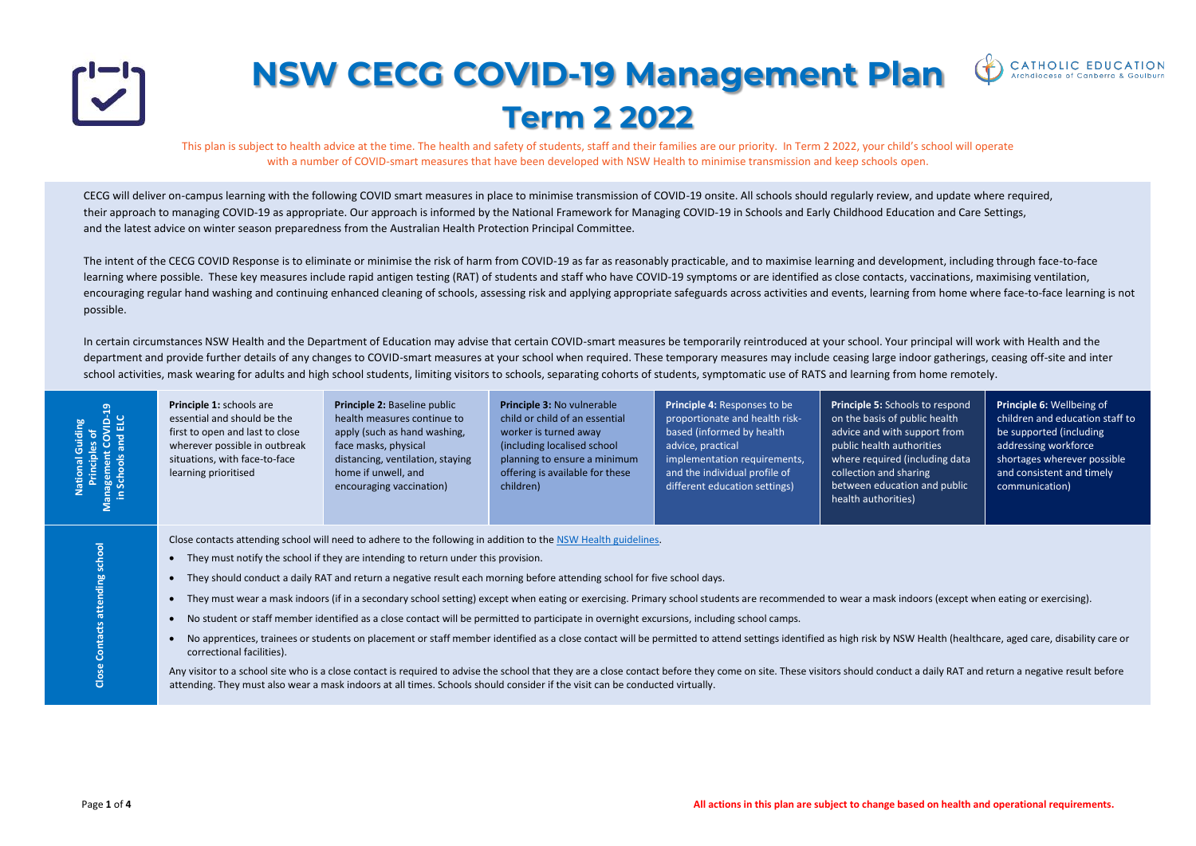

## **NSW CECG COVID-19 Management Plan Term 2 2022**

This plan is subject to health advice at the time. The health and safety of students, staff and their families are our priority. In Term 2 2022, your child's school will operate with a number of COVID-smart measures that have been developed with NSW Health to minimise transmission and keep schools open.

CECG will deliver on-campus learning with the following COVID smart measures in place to minimise transmission of COVID-19 onsite. All schools should regularly review, and update where required, their approach to managing COVID-19 as appropriate. Our approach is informed by the [National Framework for Managing COVID-19 in Schools and Early Childhood Education and Care Settings,](https://www.dese.gov.au/covid-19/resources/national-framework-managing-covid19) and the latest advice on winter season preparedness from the [Australian Health Protection Principal Committee.](https://www.health.gov.au/news/ahppc-statement-on-winter-season-preparedness) 

In certain circumstances NSW Health and the Department of Education may advise that certain COVID-smart measures be temporarily reintroduced at your school. Your principal will work with Health and the department and provide further details of any changes to COVID-smart measures at your school when required. These temporary measures may include ceasing large indoor gatherings, ceasing off-site and inter school activities, mask wearing for adults and high school students, limiting visitors to schools, separating cohorts of students, symptomatic use of RATS and learning from home remotely.

The intent of the CECG COVID Response is to eliminate or minimise the risk of harm from COVID-19 as far as reasonably practicable, and to maximise learning and development, including through face-to-face learning where possible. These key measures include rapid antigen testing (RAT) of students and staff who have COVID-19 symptoms or are identified as close contacts, vaccinations, maximising ventilation, encouraging regular hand washing and continuing enhanced cleaning of schools, assessing risk and applying appropriate safeguards across activities and events, learning from home where face-to-face learning is not possible.

> **Principle 6:** Wellbeing of children and education staff to be supported (including addressing workforce shortages wherever possible and consistent and timely communication)

oors (except when eating or exercising).

Health (healthcare, aged care, disability care or

Any visitor to andvisitor a duplire to advise the school that the school that the school that the school the fore

| ELC<br>$\Box$<br>les<br>C<br>$\delta$<br>ialia<br>৳<br>and<br>Principles<br>agement<br>Schools | essential and should be the<br>first to open and last to close<br>wherever possible in outbreak<br>situations, with face-to-face<br>learning prioritised                                                                                                                                                                                                                                                                                                                                                                                                                                                                                                                                                                                                                                                                                                                                                                                                                                                                                                                                                                                                                     | health measures continue to<br>apply (such as hand washing,<br>face masks, physical<br>distancing, ventilation, staying<br>home if unwell, and<br>encouraging vaccination) | child or child of an essential<br>worker is turned away<br>(including localised school)<br>planning to ensure a minimum<br>offering is available for these<br>children) | proportionate and health risk-<br>based (informed by health<br>advice, practical<br>implementation requirements,<br>and the individual profile of<br>different education settings) | on the basis of public I<br>advice and with suppo<br>public health authoriti<br>where required (includ<br>collection and sharing<br>between education an<br>health authorities) |
|------------------------------------------------------------------------------------------------|------------------------------------------------------------------------------------------------------------------------------------------------------------------------------------------------------------------------------------------------------------------------------------------------------------------------------------------------------------------------------------------------------------------------------------------------------------------------------------------------------------------------------------------------------------------------------------------------------------------------------------------------------------------------------------------------------------------------------------------------------------------------------------------------------------------------------------------------------------------------------------------------------------------------------------------------------------------------------------------------------------------------------------------------------------------------------------------------------------------------------------------------------------------------------|----------------------------------------------------------------------------------------------------------------------------------------------------------------------------|-------------------------------------------------------------------------------------------------------------------------------------------------------------------------|------------------------------------------------------------------------------------------------------------------------------------------------------------------------------------|---------------------------------------------------------------------------------------------------------------------------------------------------------------------------------|
| <b>Close Contacts attending school</b>                                                         | Close contacts attending school will need to adhere to the following in addition to the NSW Health guidelines.<br>They must notify the school if they are intending to return under this provision.<br>They should conduct a daily RAT and return a negative result each morning before attending school for five school days.<br>They must wear a mask indoors (if in a secondary school setting) except when eating or exercising. Primary school students are recommended to wear a mask indoors<br>No student or staff member identified as a close contact will be permitted to participate in overnight excursions, including school camps.<br>No apprentices, trainees or students on placement or staff member identified as a close contact will be permitted to attend settings identified as high risk by NSW Hea<br>correctional facilities).<br>Any visitor to a school site who is a close contact is required to advise the school that they are a close contact before they come on site. These visitors should conduct a da<br>attending. They must also wear a mask indoors at all times. Schools should consider if the visit can be conducted virtually. |                                                                                                                                                                            |                                                                                                                                                                         |                                                                                                                                                                                    |                                                                                                                                                                                 |



to respond ic health port from ities luding data and public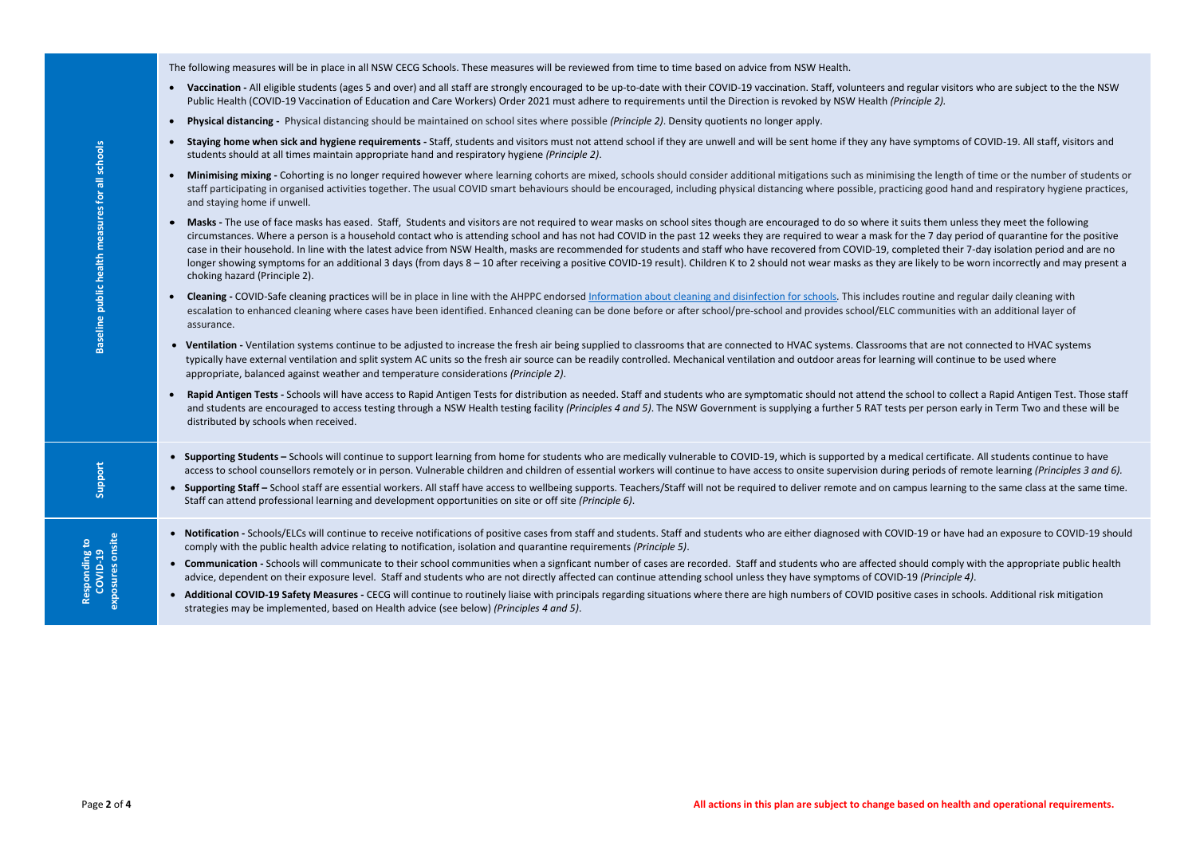The following measures will be in place in all NSW CECG Schools. These measures will be reviewed from time to time based on advice from NSW Health.

- **Vaccination -** All eligible students (ages 5 and over) and all staff are strongly encouraged to be up-to-date with their COVID-19 vaccination. Staff, volunteers and regular visitors who are subject to the the NSW Public Health (COVID-19 Vaccination of Education and Care Workers) Order 2021 must adhere to requirements until the Direction is revoked by NSW Health *(Principle 2).*
- **Physical distancing -** Physical distancing should be maintained on school sites where possible *(Principle 2)*. Density quotients no longer apply.
- Staying home when sick and hygiene requirements Staff, students and visitors must not attend school if they are unwell and will be sent home if they any have symptoms of COVID-19. All staff, visitors and students should at all times maintain appropriate hand and respiratory hygiene *(Principle 2)*.
- **Minimising mixing -** Cohorting is no longer required however where learning cohorts are mixed, schools should consider additional mitigations such as minimising the length of time or the number of students or staff participating in organised activities together. The usual COVID smart behaviours should be encouraged, including physical distancing where possible, practicing good hand and respiratory hygiene practices, and staying home if unwell.
- **Page 2** of **4**  $\frac{1}{2}$  of  $\frac{1}{2}$  of  $\frac{1}{2}$  of  $\frac{1}{2}$  of  $\frac{1}{2}$  of  $\frac{1}{2}$  of  $\frac{1}{2}$  of  $\frac{1}{2}$  of  $\frac{1}{2}$  of  $\frac{1}{2}$  of  $\frac{1}{2}$  of  $\frac{1}{2}$  of  $\frac{1}{2}$  of  $\frac{1}{2}$  of  $\frac{1}{2}$  of  $\frac{1}{2}$  o • Masks - The use of face masks has eased. Staff, Students and visitors are not required to wear masks on school sites though are encouraged to do so where it suits them unless they meet the following circumstances. Where a person is a household contact who is attending school and has not had COVID in the past 12 weeks they are required to wear a mask for the 7 day period of quarantine for the positive case in their household. In line with the [latest advice from NSW Health,](https://www.nsw.gov.au/covid-19/management/advice-for-confirmed#toc-when-can-i-leave-self-isolation) masks are recommended for students and staff who have recovered from COVID-19, completed their 7-day isolation period and are no longer showing symptoms for an additional 3 days (from days 8 – 10 after receiving a positive COVID-19 result). Children K to 2 should not wear masks as they are likely to be worn incorrectly and may present a choking hazard (Principle 2).
	- **Cleaning -** COVID-Safe cleaning practices will be in place in line with the AHPPC endorsed [Information about cleaning and disinfection for schools](https://www.health.gov.au/sites/default/files/documents/2022/02/information-about-cleaning-and-disinfection-for-schools.pdf)*.* This includes routine and regular daily cleaning with escalation to enhanced cleaning where cases have been identified. Enhanced cleaning can be done before or after school/pre-school and provides school/ELC communities with an additional layer of assurance.
	- **Ventilation -** Ventilation systems continue to be adjusted to increase the fresh air being supplied to classrooms that are connected to HVAC systems. Classrooms that are not connected to HVAC systems typically have external ventilation and split system AC units so the fresh air source can be readily controlled. Mechanical ventilation and outdoor areas for learning will continue to be used where appropriate, balanced against weather and temperature considerations *(Principle 2)*.
	- Rapid Antigen Tests Schools will have access to Rapid Antigen Tests for distribution as needed. Staff and students who are symptomatic should not attend the school to collect a Rapid Antigen Test. Those staff and students are encouraged to access testing through a NSW Health testing facility *(Principles 4 and 5)*. The NSW Government is supplying a further 5 RAT tests per person early in Term Two and these will be distributed by schools when received.
	- Supporting Students Schools will continue to support learning from home for students who are medically vulnerable to COVID-19, which is supported by a medical certificate. All students continue to have access to school counsellors remotely or in person. Vulnerable children and children of essential workers will continue to have access to onsite supervision during periods of remote learning (Principles 3 and 6).
	- Supporting Staff School staff are essential workers. All staff have access to wellbeing supports. Teachers/Staff will not be required to deliver remote and on campus learning to the same class at the same time. Staff can attend professional learning and development opportunities on site or off site *(Principle 6)*.
	- Notification Schools/ELCs will continue to receive notifications of positive cases from staff and students. Staff and students who are either diagnosed with COVID-19 or have had an exposure to COVID-19 should comply with the public health advice relating to notification, isolation and quarantine requirements *(Principle 5)*.
	- Communication Schools will communicate to their school communities when a signficant number of cases are recorded. Staff and students who are affected should comply with the appropriate public health advice, dependent on their exposure level. Staff and students who are not directly affected can continue attending school unless they have symptoms of COVID-19 *(Principle 4)*.
	- Additional COVID-19 Safety Measures CECG will continue to routinely liaise with principals regarding situations where there are high numbers of COVID positive cases in schools. Additional risk mitigation strategies may be implemented, based on Health advice (see below) *(Principles 4 and 5)*.

**Support**

**Responding to Responding to<br>COVID-19<br>exposures onsite exposures onsite**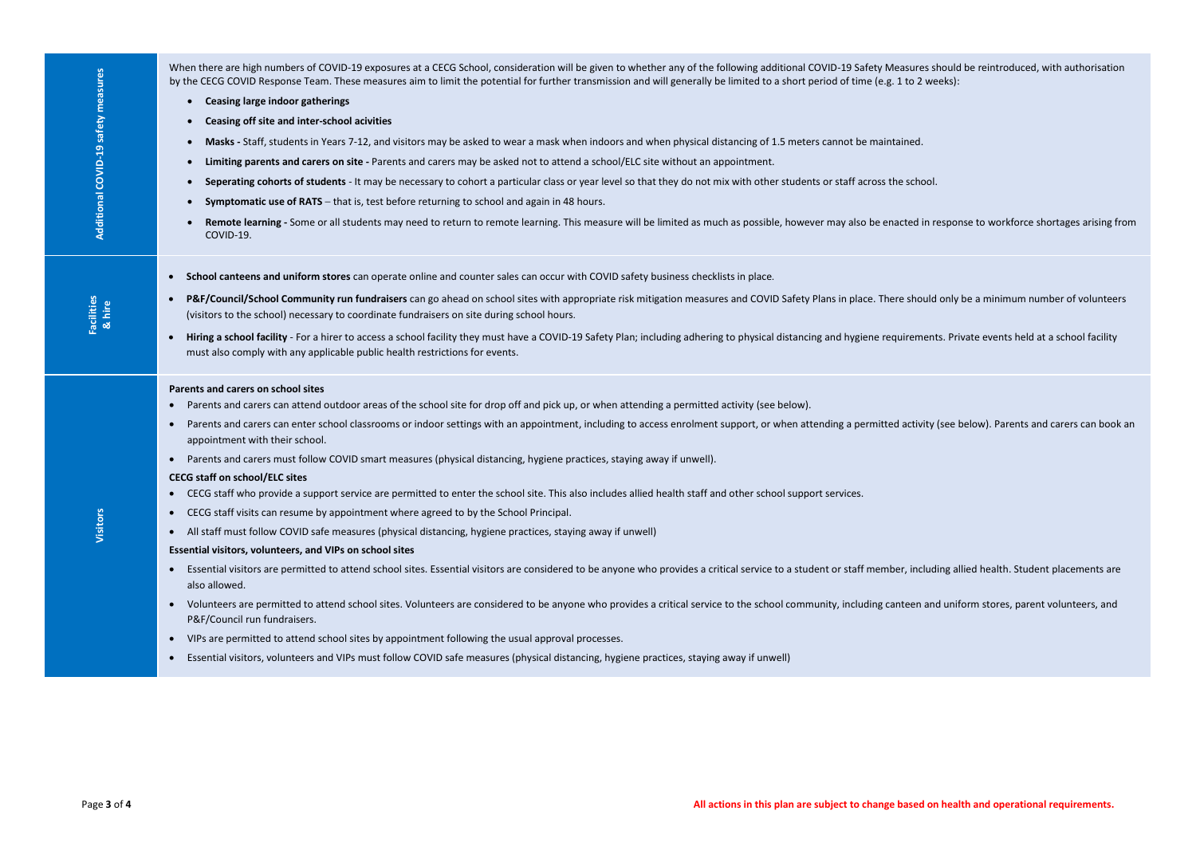be enacted in response to workforce shortages arising from

e. There should only be a minimum number of volunteers

<sup>e</sup> raitted activity (see below). Parents and carers can book an

| Additional COVID-19 safety measures | When there are high numbers of COVID-19 exposures at a CECG School, consideration will be given to whether any of the following additional COVID-19 Safety Measures should be reintroduced, with authorisation<br>by the CECG COVID Response Team. These measures aim to limit the potential for further transmission and will generally be limited to a short period of time (e.g. 1 to 2 weeks):<br>• Ceasing large indoor gatherings<br>Ceasing off site and inter-school acivities<br>$\bullet$<br>Masks - Staff, students in Years 7-12, and visitors may be asked to wear a mask when indoors and when physical distancing of 1.5 meters cannot be maintained.<br>Limiting parents and carers on site - Parents and carers may be asked not to attend a school/ELC site without an appointment.<br>Seperating cohorts of students - It may be necessary to cohort a particular class or year level so that they do not mix with other students or staff across the school.<br>$\bullet$<br><b>Symptomatic use of RATS</b> - that is, test before returning to school and again in 48 hours.<br>Remote learning - Some or all students may need to return to remote learning. This measure will be limited as much as possible, however may also be enacted in response to workforce shortages arising<br>COVID-19.                                                                                                                                                                                                                                                                                                                                                                                                                                                                                                                                                                           |
|-------------------------------------|----------------------------------------------------------------------------------------------------------------------------------------------------------------------------------------------------------------------------------------------------------------------------------------------------------------------------------------------------------------------------------------------------------------------------------------------------------------------------------------------------------------------------------------------------------------------------------------------------------------------------------------------------------------------------------------------------------------------------------------------------------------------------------------------------------------------------------------------------------------------------------------------------------------------------------------------------------------------------------------------------------------------------------------------------------------------------------------------------------------------------------------------------------------------------------------------------------------------------------------------------------------------------------------------------------------------------------------------------------------------------------------------------------------------------------------------------------------------------------------------------------------------------------------------------------------------------------------------------------------------------------------------------------------------------------------------------------------------------------------------------------------------------------------------------------------------------------------------------------------------------------------------------|
| Facilities<br>& hire                | School canteens and uniform stores can operate online and counter sales can occur with COVID safety business checklists in place.<br>$\bullet$<br>P&F/Council/School Community run fundraisers can go ahead on school sites with appropriate risk mitigation measures and COVID Safety Plans in place. There should only be a minimum number of voluntee<br>$\bullet$<br>(visitors to the school) necessary to coordinate fundraisers on site during school hours.<br>Hiring a school facility - For a hirer to access a school facility they must have a COVID-19 Safety Plan; including adhering to physical distancing and hygiene requirements. Private events held at a school facility<br>$\bullet$<br>must also comply with any applicable public health restrictions for events.                                                                                                                                                                                                                                                                                                                                                                                                                                                                                                                                                                                                                                                                                                                                                                                                                                                                                                                                                                                                                                                                                                           |
| Visitors                            | Parents and carers on school sites<br>Parents and carers can attend outdoor areas of the school site for drop off and pick up, or when attending a permitted activity (see below).<br>$\bullet$<br>Parents and carers can enter school classrooms or indoor settings with an appointment, including to access enrolment support, or when attending a permitted activity (see below). Parents and carers can boo<br>$\bullet$<br>appointment with their school.<br>Parents and carers must follow COVID smart measures (physical distancing, hygiene practices, staying away if unwell).<br>$\bullet$<br><b>CECG staff on school/ELC sites</b><br>CECG staff who provide a support service are permitted to enter the school site. This also includes allied health staff and other school support services.<br>CECG staff visits can resume by appointment where agreed to by the School Principal.<br>All staff must follow COVID safe measures (physical distancing, hygiene practices, staying away if unwell)<br>$\bullet$<br>Essential visitors, volunteers, and VIPs on school sites<br>Essential visitors are permitted to attend school sites. Essential visitors are considered to be anyone who provides a critical service to a student or staff member, including allied health. Student placements are consider<br>$\bullet$<br>also allowed.<br>Volunteers are permitted to attend school sites. Volunteers are considered to be anyone who provides a critical service to the school community, including canteen and uniform stores, parent volunteers, and<br>$\bullet$<br>P&F/Council run fundraisers.<br>VIPs are permitted to attend school sites by appointment following the usual approval processes.<br>$\bullet$<br>Essential visitors, volunteers and VIPs must follow COVID safe measures (physical distancing, hygiene practices, staying away if unwell)<br>$\bullet$ |
| Page 3 of 4                         | All actions in this plan are subject to change based on health and operational requirements.                                                                                                                                                                                                                                                                                                                                                                                                                                                                                                                                                                                                                                                                                                                                                                                                                                                                                                                                                                                                                                                                                                                                                                                                                                                                                                                                                                                                                                                                                                                                                                                                                                                                                                                                                                                                       |